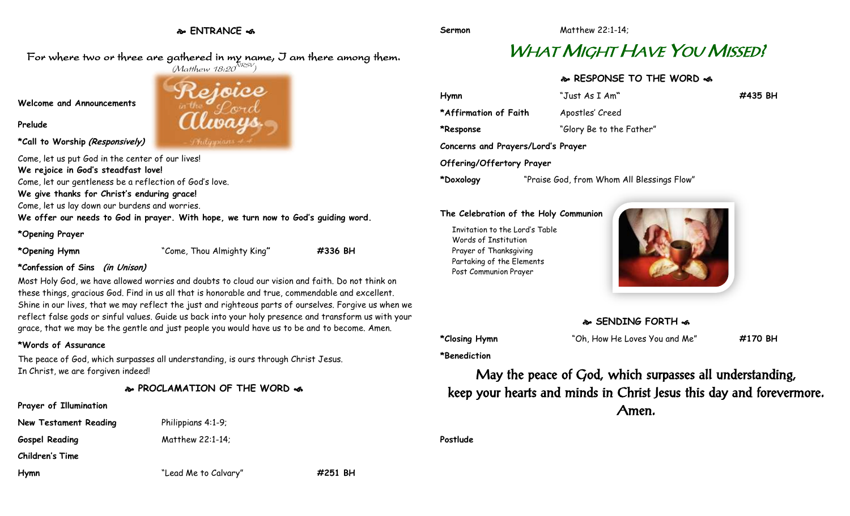**ENTRANCE** 

For where two or three are gathered in my name, I am there among them.  $(M$ atthew 18:20 $^{NRSV})$ 

**Welcome and Announcements**

**Prelude**

**\*Call to Worship (Responsively)**

Come, let us put God in the center of our lives! **We rejoice in God's steadfast love!** Come, let our gentleness be a reflection of God's love. **We give thanks for Christ's enduring grace!**

Come, let us lay down our burdens and worries.

**We offer our needs to God in prayer. With hope, we turn now to God's guiding word.**

#### **\*Opening Prayer**

**\*Opening Hymn** "Come, Thou Almighty King**" #336 BH**

#### **\*Confession of Sins (in Unison)**

Most Holy God, we have allowed worries and doubts to cloud our vision and faith. Do not think on these things, gracious God. Find in us all that is honorable and true, commendable and excellent. Shine in our lives, that we may reflect the just and righteous parts of ourselves. Forgive us when we reflect false gods or sinful values. Guide us back into your holy presence and transform us with your grace, that we may be the gentle and just people you would have us to be and to become. Amen.

### **\*Words of Assurance**

The peace of God, which surpasses all understanding, is ours through Christ Jesus. In Christ, we are forgiven indeed!

**PROCLAMATION OF THE WORD** 

# **Prayer of Illumination New Testament Reading** Philippians 4:1-9; **Gospel Reading** Matthew 22:1-14; **Children's Time Hymn** "Lead Me to Calvary" **#251 BH**

# WHAT MIGHT HAVE YOU MISSED!

# **RESPONSE TO THE WORD**

| Hymn                               | "Just As I Am"                             | #435 BH |
|------------------------------------|--------------------------------------------|---------|
| *Affirmation of Faith              | Apostles' Creed                            |         |
| *Response                          | "Glory Be to the Father"                   |         |
| Concerns and Prayers/Lord's Prayer |                                            |         |
| Offering/Offertory Prayer          |                                            |         |
| *Doxology                          | "Praise God, from Whom All Blessings Flow" |         |

#### **The Celebration of the Holy Communion**

Invitation to the Lord's Table Words of Institution Prayer of Thanksgiving Partaking of the Elements Post Communion Prayer



## **SENDING FORTH**  $\bullet$

**\*Closing Hymn** "Oh, How He Loves You and Me" **#170 BH**

**\*Benediction**

May the peace of God, which surpasses all understanding, keep your hearts and minds in Christ Jesus this day and forevermore. Amen.

**Postlude**